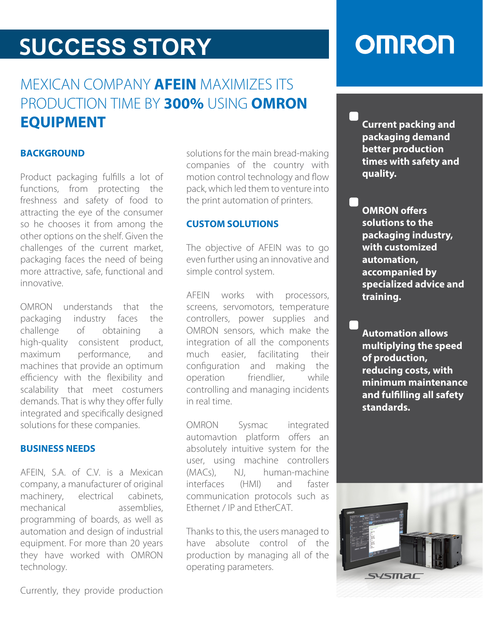## **SUCCESS STORY**

### MEXICAN COMPANY **AFEIN** MAXIMIZES ITS PRODUCTION TIME BY **300%** USING **OMRON EQUIPMENT**

### **BACKGROUND**

Product packaging fulfills a lot of functions, from protecting the freshness and safety of food to attracting the eye of the consumer so he chooses it from among the other options on the shelf. Given the challenges of the current market, packaging faces the need of being more attractive, safe, functional and innovative.

OMRON understands that the packaging industry faces the challenge of obtaining a high-quality consistent product, maximum performance, and machines that provide an optimum efficiency with the flexibility and scalability that meet costumers demands. That is why they offer fully integrated and specifically designed solutions for these companies.

### **BUSINESS NEEDS**

AFEIN, S.A. of C.V. is a Mexican company, a manufacturer of original machinery, electrical cabinets, mechanical assemblies, programming of boards, as well as automation and design of industrial equipment. For more than 20 years they have worked with OMRON technology.

solutions for the main bread-making companies of the country with motion control technology and flow pack, which led them to venture into the print automation of printers.

#### **CUSTOM SOLUTIONS**

The objective of AFEIN was to go even further using an innovative and simple control system.

AFEIN works with processors, screens, servomotors, temperature controllers, power supplies and OMRON sensors, which make the integration of all the components much easier, facilitating their configuration and making the operation friendlier, while controlling and managing incidents in real time.

OMRON Sysmac integrated automavtion platform offers an absolutely intuitive system for the user, using machine controllers (MACs), NJ, human-machine interfaces (HMI) and faster communication protocols such as Ethernet / IP and EtherCAT.

Thanks to this, the users managed to have absolute control of the production by managing all of the operating parameters.

## **OMRON**

**Current packing and packaging demand better production times with safety and quality.**

**OMRON** offers **solutions to the packaging industry, with customized automation, accompanied by specialized advice and training.**

**Automation allows multiplying the speed of production, reducing costs, with minimum maintenance and fullling all safety standards.**



Currently, they provide production